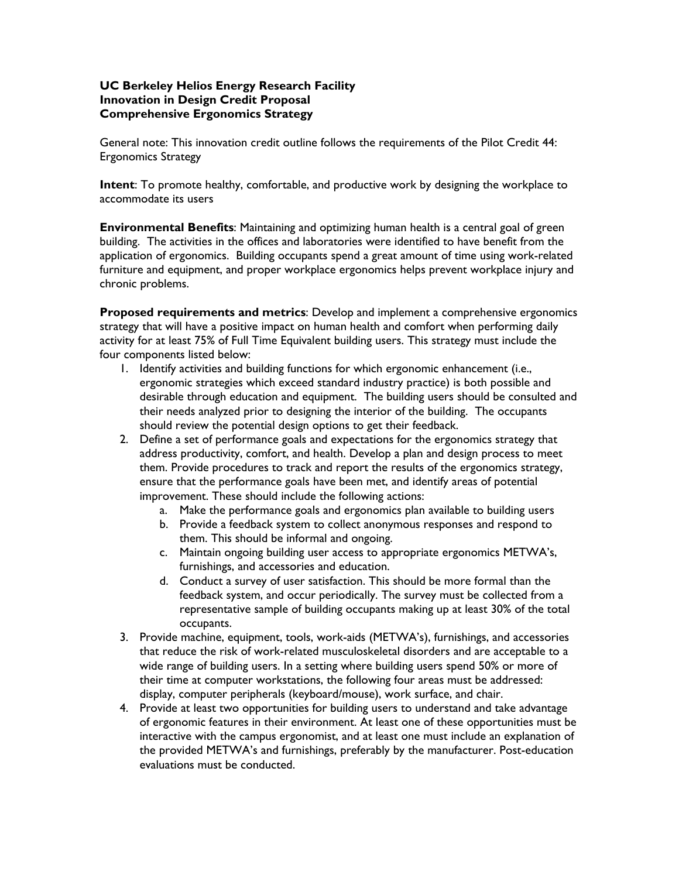## **UC Berkeley Helios Energy Research Facility Innovation in Design Credit Proposal Comprehensive Ergonomics Strategy**

General note: This innovation credit outline follows the requirements of the Pilot Credit 44: Ergonomics Strategy

**Intent**: To promote healthy, comfortable, and productive work by designing the workplace to accommodate its users

**Environmental Benefits**: Maintaining and optimizing human health is a central goal of green building. The activities in the offices and laboratories were identified to have benefit from the application of ergonomics. Building occupants spend a great amount of time using work-related furniture and equipment, and proper workplace ergonomics helps prevent workplace injury and chronic problems.

**Proposed requirements and metrics**: Develop and implement a comprehensive ergonomics strategy that will have a positive impact on human health and comfort when performing daily activity for at least 75% of Full Time Equivalent building users. This strategy must include the four components listed below:

- 1. Identify activities and building functions for which ergonomic enhancement (i.e., ergonomic strategies which exceed standard industry practice) is both possible and desirable through education and equipment. The building users should be consulted and their needs analyzed prior to designing the interior of the building. The occupants should review the potential design options to get their feedback.
- 2. Define a set of performance goals and expectations for the ergonomics strategy that address productivity, comfort, and health. Develop a plan and design process to meet them. Provide procedures to track and report the results of the ergonomics strategy, ensure that the performance goals have been met, and identify areas of potential improvement. These should include the following actions:
	- a. Make the performance goals and ergonomics plan available to building users
	- b. Provide a feedback system to collect anonymous responses and respond to them. This should be informal and ongoing.
	- c. Maintain ongoing building user access to appropriate ergonomics METWA's, furnishings, and accessories and education.
	- d. Conduct a survey of user satisfaction. This should be more formal than the feedback system, and occur periodically. The survey must be collected from a representative sample of building occupants making up at least 30% of the total occupants.
- 3. Provide machine, equipment, tools, work-aids (METWA's), furnishings, and accessories that reduce the risk of work-related musculoskeletal disorders and are acceptable to a wide range of building users. In a setting where building users spend 50% or more of their time at computer workstations, the following four areas must be addressed: display, computer peripherals (keyboard/mouse), work surface, and chair.
- 4. Provide at least two opportunities for building users to understand and take advantage of ergonomic features in their environment. At least one of these opportunities must be interactive with the campus ergonomist, and at least one must include an explanation of the provided METWA's and furnishings, preferably by the manufacturer. Post-education evaluations must be conducted.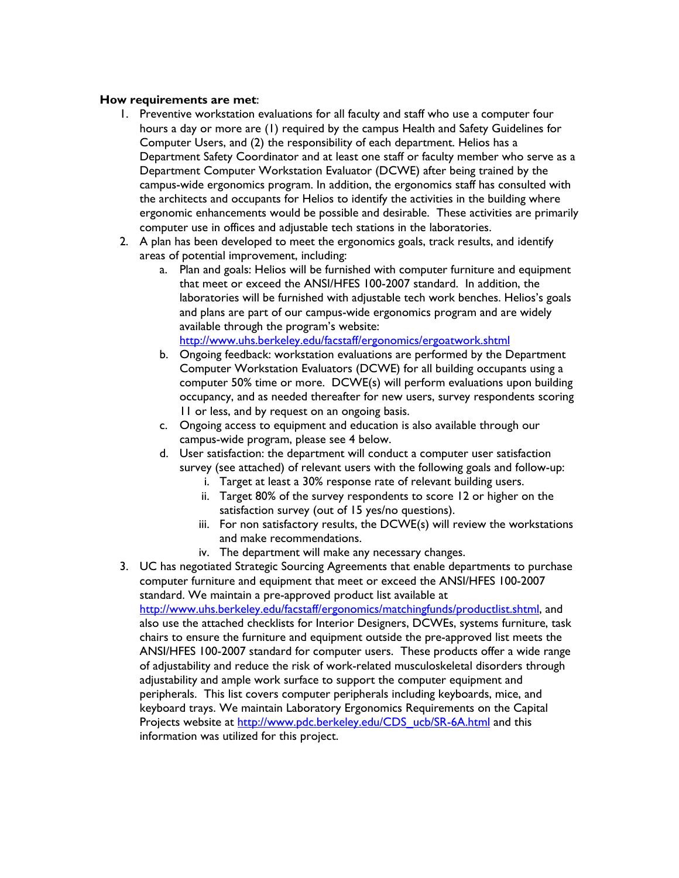## **How requirements are met**:

- 1. Preventive workstation evaluations for all faculty and staff who use a computer four hours a day or more are (1) required by the campus Health and Safety Guidelines for Computer Users, and (2) the responsibility of each department. Helios has a Department Safety Coordinator and at least one staff or faculty member who serve as a Department Computer Workstation Evaluator (DCWE) after being trained by the campus-wide ergonomics program. In addition, the ergonomics staff has consulted with the architects and occupants for Helios to identify the activities in the building where ergonomic enhancements would be possible and desirable. These activities are primarily computer use in offices and adjustable tech stations in the laboratories.
- 2. A plan has been developed to meet the ergonomics goals, track results, and identify areas of potential improvement, including:
	- a. Plan and goals: Helios will be furnished with computer furniture and equipment that meet or exceed the ANSI/HFES 100-2007 standard. In addition, the laboratories will be furnished with adjustable tech work benches. Helios's goals and plans are part of our campus-wide ergonomics program and are widely available through the program's website: http://www.uhs.berkeley.edu/facstaff/ergonomics/ergoatwork.shtml
	- b. Ongoing feedback: workstation evaluations are performed by the Department Computer Workstation Evaluators (DCWE) for all building occupants using a computer 50% time or more. DCWE(s) will perform evaluations upon building occupancy, and as needed thereafter for new users, survey respondents scoring 11 or less, and by request on an ongoing basis.
	- c. Ongoing access to equipment and education is also available through our campus-wide program, please see 4 below.
	- d. User satisfaction: the department will conduct a computer user satisfaction survey (see attached) of relevant users with the following goals and follow-up:
		- i. Target at least a 30% response rate of relevant building users.
		- ii. Target 80% of the survey respondents to score 12 or higher on the satisfaction survey (out of 15 yes/no questions).
		- iii. For non satisfactory results, the DCWE(s) will review the workstations and make recommendations.
		- iv. The department will make any necessary changes.
- 3. UC has negotiated Strategic Sourcing Agreements that enable departments to purchase computer furniture and equipment that meet or exceed the ANSI/HFES 100-2007 standard. We maintain a pre-approved product list available at http://www.uhs.berkeley.edu/facstaff/ergonomics/matchingfunds/productlist.shtml, and also use the attached checklists for Interior Designers, DCWEs, systems furniture, task chairs to ensure the furniture and equipment outside the pre-approved list meets the ANSI/HFES 100-2007 standard for computer users. These products offer a wide range of adjustability and reduce the risk of work-related musculoskeletal disorders through adjustability and ample work surface to support the computer equipment and peripherals. This list covers computer peripherals including keyboards, mice, and keyboard trays. We maintain Laboratory Ergonomics Requirements on the Capital Projects website at http://www.pdc.berkeley.edu/CDS\_ucb/SR-6A.html and this information was utilized for this project.